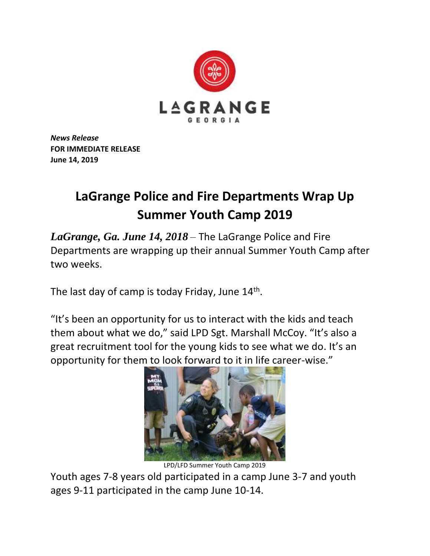

*News Release* **FOR IMMEDIATE RELEASE June 14, 2019**

## **LaGrange Police and Fire Departments Wrap Up Summer Youth Camp 2019**

*LaGrange, Ga. June 14, 2018* – The LaGrange Police and Fire Departments are wrapping up their annual Summer Youth Camp after two weeks.

The last day of camp is today Friday, June 14<sup>th</sup>.

"It's been an opportunity for us to interact with the kids and teach them about what we do," said LPD Sgt. Marshall McCoy. "It's also a great recruitment tool for the young kids to see what we do. It's an opportunity for them to look forward to it in life career-wise."



LPD/LFD Summer Youth Camp 2019

Youth ages 7-8 years old participated in a camp June 3-7 and youth ages 9-11 participated in the camp June 10-14.